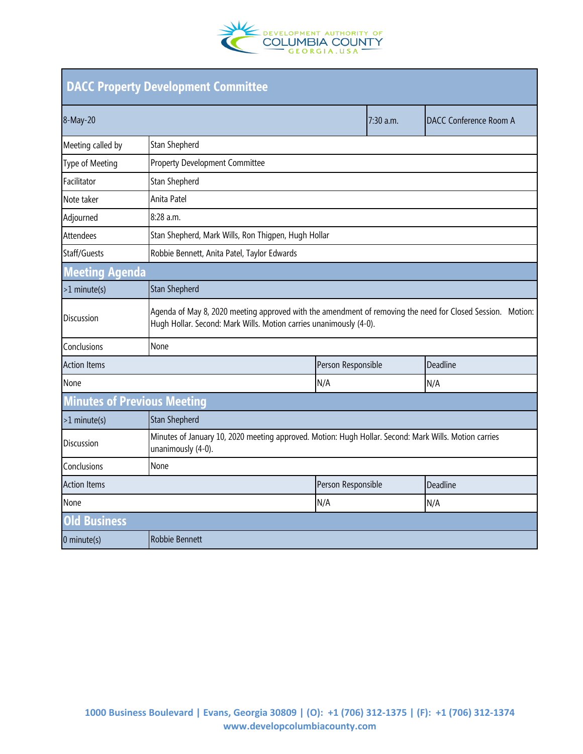

| <b>DACC Property Development Committee</b> |                                                                                                                                                                                  |                    |           |                               |  |
|--------------------------------------------|----------------------------------------------------------------------------------------------------------------------------------------------------------------------------------|--------------------|-----------|-------------------------------|--|
| 8-May-20                                   |                                                                                                                                                                                  |                    | 7:30 a.m. | <b>DACC Conference Room A</b> |  |
| Meeting called by                          | Stan Shepherd                                                                                                                                                                    |                    |           |                               |  |
| Type of Meeting                            | <b>Property Development Committee</b>                                                                                                                                            |                    |           |                               |  |
| Facilitator                                | Stan Shepherd                                                                                                                                                                    |                    |           |                               |  |
| Note taker                                 | Anita Patel                                                                                                                                                                      |                    |           |                               |  |
| Adjourned                                  | 8:28 a.m.                                                                                                                                                                        |                    |           |                               |  |
| Attendees                                  | Stan Shepherd, Mark Wills, Ron Thigpen, Hugh Hollar                                                                                                                              |                    |           |                               |  |
| Staff/Guests                               | Robbie Bennett, Anita Patel, Taylor Edwards                                                                                                                                      |                    |           |                               |  |
| <b>Meeting Agenda</b>                      |                                                                                                                                                                                  |                    |           |                               |  |
| $>1$ minute(s)                             | <b>Stan Shepherd</b>                                                                                                                                                             |                    |           |                               |  |
| <b>Discussion</b>                          | Agenda of May 8, 2020 meeting approved with the amendment of removing the need for Closed Session. Motion:<br>Hugh Hollar. Second: Mark Wills. Motion carries unanimously (4-0). |                    |           |                               |  |
| Conclusions                                | None                                                                                                                                                                             |                    |           |                               |  |
| <b>Action Items</b>                        |                                                                                                                                                                                  | Person Responsible |           | Deadline                      |  |
| None                                       |                                                                                                                                                                                  | N/A                |           | N/A                           |  |
| <b>Minutes of Previous Meeting</b>         |                                                                                                                                                                                  |                    |           |                               |  |
| >1 minute(s)                               | <b>Stan Shepherd</b>                                                                                                                                                             |                    |           |                               |  |
| Discussion                                 | Minutes of January 10, 2020 meeting approved. Motion: Hugh Hollar. Second: Mark Wills. Motion carries<br>unanimously (4-0).                                                      |                    |           |                               |  |
| Conclusions                                | None                                                                                                                                                                             |                    |           |                               |  |
| <b>Action Items</b>                        |                                                                                                                                                                                  | Person Responsible |           | Deadline                      |  |
| None                                       |                                                                                                                                                                                  | N/A                |           | N/A                           |  |
| <b>Old Business</b>                        |                                                                                                                                                                                  |                    |           |                               |  |
| $0$ minute(s)                              | Robbie Bennett                                                                                                                                                                   |                    |           |                               |  |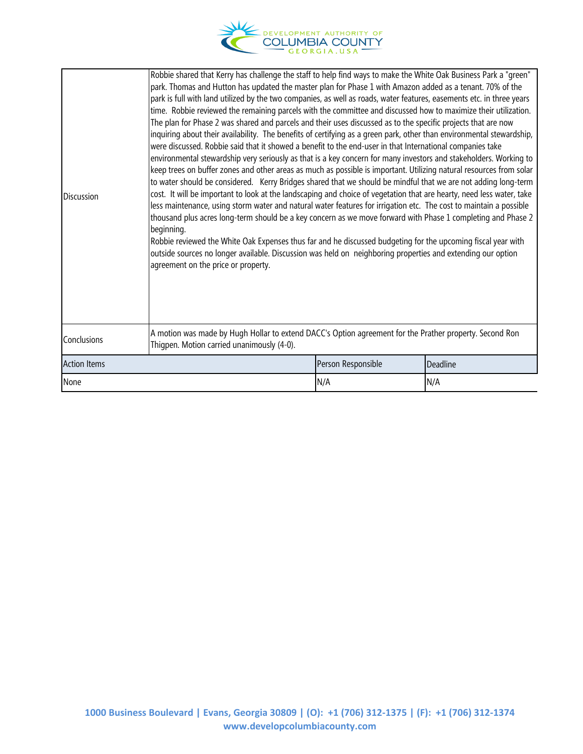

| <b>Discussion</b>   | park. Thomas and Hutton has updated the master plan for Phase 1 with Amazon added as a tenant. 70% of the<br>park is full with land utilized by the two companies, as well as roads, water features, easements etc. in three years<br>time. Robbie reviewed the remaining parcels with the committee and discussed how to maximize their utilization.<br>The plan for Phase 2 was shared and parcels and their uses discussed as to the specific projects that are now<br>inquiring about their availability. The benefits of certifying as a green park, other than environmental stewardship,<br>were discussed. Robbie said that it showed a benefit to the end-user in that International companies take<br>environmental stewardship very seriously as that is a key concern for many investors and stakeholders. Working to<br>keep trees on buffer zones and other areas as much as possible is important. Utilizing natural resources from solar<br>to water should be considered. Kerry Bridges shared that we should be mindful that we are not adding long-term<br>cost. It will be important to look at the landscaping and choice of vegetation that are hearty, need less water, take<br>less maintenance, using storm water and natural water features for irrigation etc. The cost to maintain a possible<br>thousand plus acres long-term should be a key concern as we move forward with Phase 1 completing and Phase 2<br>beginning.<br>Robbie reviewed the White Oak Expenses thus far and he discussed budgeting for the upcoming fiscal year with<br>outside sources no longer available. Discussion was held on neighboring properties and extending our option<br>agreement on the price or property. |                    |          |  |
|---------------------|-------------------------------------------------------------------------------------------------------------------------------------------------------------------------------------------------------------------------------------------------------------------------------------------------------------------------------------------------------------------------------------------------------------------------------------------------------------------------------------------------------------------------------------------------------------------------------------------------------------------------------------------------------------------------------------------------------------------------------------------------------------------------------------------------------------------------------------------------------------------------------------------------------------------------------------------------------------------------------------------------------------------------------------------------------------------------------------------------------------------------------------------------------------------------------------------------------------------------------------------------------------------------------------------------------------------------------------------------------------------------------------------------------------------------------------------------------------------------------------------------------------------------------------------------------------------------------------------------------------------------------------------------------------------------------------------------------------------------------|--------------------|----------|--|
| Conclusions         | A motion was made by Hugh Hollar to extend DACC's Option agreement for the Prather property. Second Ron<br>Thigpen. Motion carried unanimously (4-0).                                                                                                                                                                                                                                                                                                                                                                                                                                                                                                                                                                                                                                                                                                                                                                                                                                                                                                                                                                                                                                                                                                                                                                                                                                                                                                                                                                                                                                                                                                                                                                         |                    |          |  |
| <b>Action Items</b> |                                                                                                                                                                                                                                                                                                                                                                                                                                                                                                                                                                                                                                                                                                                                                                                                                                                                                                                                                                                                                                                                                                                                                                                                                                                                                                                                                                                                                                                                                                                                                                                                                                                                                                                               | Person Responsible | Deadline |  |
| None                |                                                                                                                                                                                                                                                                                                                                                                                                                                                                                                                                                                                                                                                                                                                                                                                                                                                                                                                                                                                                                                                                                                                                                                                                                                                                                                                                                                                                                                                                                                                                                                                                                                                                                                                               | N/A                | N/A      |  |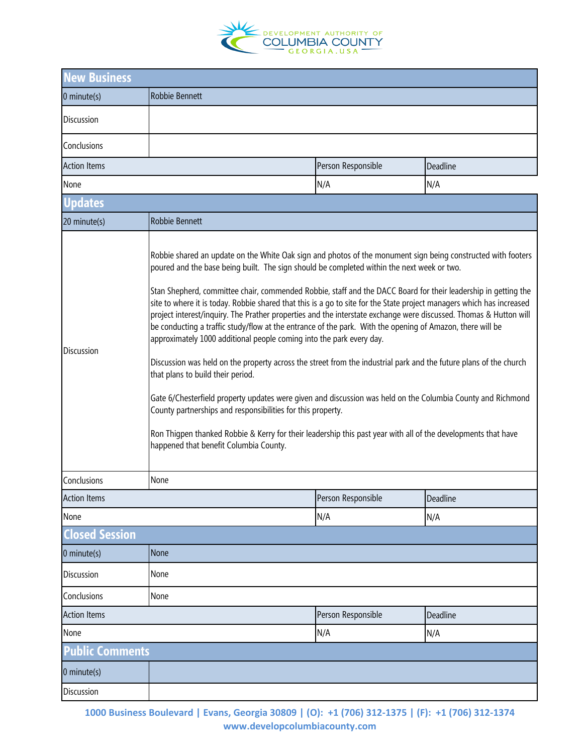

| <b>New Business</b>    |                                                                                                                                                                                                                                                                                                                                                                                                                                                                                                                                                                                                                                                                                                                                                                                                                                                                                                                                                                                                                                                                                                                                                                                                                                                                    |                    |          |  |  |  |
|------------------------|--------------------------------------------------------------------------------------------------------------------------------------------------------------------------------------------------------------------------------------------------------------------------------------------------------------------------------------------------------------------------------------------------------------------------------------------------------------------------------------------------------------------------------------------------------------------------------------------------------------------------------------------------------------------------------------------------------------------------------------------------------------------------------------------------------------------------------------------------------------------------------------------------------------------------------------------------------------------------------------------------------------------------------------------------------------------------------------------------------------------------------------------------------------------------------------------------------------------------------------------------------------------|--------------------|----------|--|--|--|
| $0$ minute(s)          | Robbie Bennett                                                                                                                                                                                                                                                                                                                                                                                                                                                                                                                                                                                                                                                                                                                                                                                                                                                                                                                                                                                                                                                                                                                                                                                                                                                     |                    |          |  |  |  |
| Discussion             |                                                                                                                                                                                                                                                                                                                                                                                                                                                                                                                                                                                                                                                                                                                                                                                                                                                                                                                                                                                                                                                                                                                                                                                                                                                                    |                    |          |  |  |  |
| Conclusions            |                                                                                                                                                                                                                                                                                                                                                                                                                                                                                                                                                                                                                                                                                                                                                                                                                                                                                                                                                                                                                                                                                                                                                                                                                                                                    |                    |          |  |  |  |
| <b>Action Items</b>    | Person Responsible<br>Deadline                                                                                                                                                                                                                                                                                                                                                                                                                                                                                                                                                                                                                                                                                                                                                                                                                                                                                                                                                                                                                                                                                                                                                                                                                                     |                    |          |  |  |  |
| N/A<br>N/A<br>None     |                                                                                                                                                                                                                                                                                                                                                                                                                                                                                                                                                                                                                                                                                                                                                                                                                                                                                                                                                                                                                                                                                                                                                                                                                                                                    |                    |          |  |  |  |
| <b>Updates</b>         |                                                                                                                                                                                                                                                                                                                                                                                                                                                                                                                                                                                                                                                                                                                                                                                                                                                                                                                                                                                                                                                                                                                                                                                                                                                                    |                    |          |  |  |  |
| 20 minute(s)           | Robbie Bennett                                                                                                                                                                                                                                                                                                                                                                                                                                                                                                                                                                                                                                                                                                                                                                                                                                                                                                                                                                                                                                                                                                                                                                                                                                                     |                    |          |  |  |  |
| <b>Discussion</b>      | Robbie shared an update on the White Oak sign and photos of the monument sign being constructed with footers<br>poured and the base being built. The sign should be completed within the next week or two.<br>Stan Shepherd, committee chair, commended Robbie, staff and the DACC Board for their leadership in getting the<br>site to where it is today. Robbie shared that this is a go to site for the State project managers which has increased<br>project interest/inquiry. The Prather properties and the interstate exchange were discussed. Thomas & Hutton will<br>be conducting a traffic study/flow at the entrance of the park. With the opening of Amazon, there will be<br>approximately 1000 additional people coming into the park every day.<br>Discussion was held on the property across the street from the industrial park and the future plans of the church<br>that plans to build their period.<br>Gate 6/Chesterfield property updates were given and discussion was held on the Columbia County and Richmond<br>County partnerships and responsibilities for this property.<br>Ron Thigpen thanked Robbie & Kerry for their leadership this past year with all of the developments that have<br>happened that benefit Columbia County. |                    |          |  |  |  |
| Conclusions            | None                                                                                                                                                                                                                                                                                                                                                                                                                                                                                                                                                                                                                                                                                                                                                                                                                                                                                                                                                                                                                                                                                                                                                                                                                                                               |                    |          |  |  |  |
| <b>Action Items</b>    |                                                                                                                                                                                                                                                                                                                                                                                                                                                                                                                                                                                                                                                                                                                                                                                                                                                                                                                                                                                                                                                                                                                                                                                                                                                                    | Person Responsible | Deadline |  |  |  |
| None                   |                                                                                                                                                                                                                                                                                                                                                                                                                                                                                                                                                                                                                                                                                                                                                                                                                                                                                                                                                                                                                                                                                                                                                                                                                                                                    | N/A                | N/A      |  |  |  |
| <b>Closed Session</b>  |                                                                                                                                                                                                                                                                                                                                                                                                                                                                                                                                                                                                                                                                                                                                                                                                                                                                                                                                                                                                                                                                                                                                                                                                                                                                    |                    |          |  |  |  |
| 0 minute(s)            | None                                                                                                                                                                                                                                                                                                                                                                                                                                                                                                                                                                                                                                                                                                                                                                                                                                                                                                                                                                                                                                                                                                                                                                                                                                                               |                    |          |  |  |  |
| Discussion             | None                                                                                                                                                                                                                                                                                                                                                                                                                                                                                                                                                                                                                                                                                                                                                                                                                                                                                                                                                                                                                                                                                                                                                                                                                                                               |                    |          |  |  |  |
| Conclusions            | None                                                                                                                                                                                                                                                                                                                                                                                                                                                                                                                                                                                                                                                                                                                                                                                                                                                                                                                                                                                                                                                                                                                                                                                                                                                               |                    |          |  |  |  |
| <b>Action Items</b>    |                                                                                                                                                                                                                                                                                                                                                                                                                                                                                                                                                                                                                                                                                                                                                                                                                                                                                                                                                                                                                                                                                                                                                                                                                                                                    | Person Responsible | Deadline |  |  |  |
| None                   |                                                                                                                                                                                                                                                                                                                                                                                                                                                                                                                                                                                                                                                                                                                                                                                                                                                                                                                                                                                                                                                                                                                                                                                                                                                                    | N/A<br>N/A         |          |  |  |  |
| <b>Public Comments</b> |                                                                                                                                                                                                                                                                                                                                                                                                                                                                                                                                                                                                                                                                                                                                                                                                                                                                                                                                                                                                                                                                                                                                                                                                                                                                    |                    |          |  |  |  |
| $0$ minute $(s)$       |                                                                                                                                                                                                                                                                                                                                                                                                                                                                                                                                                                                                                                                                                                                                                                                                                                                                                                                                                                                                                                                                                                                                                                                                                                                                    |                    |          |  |  |  |
| Discussion             |                                                                                                                                                                                                                                                                                                                                                                                                                                                                                                                                                                                                                                                                                                                                                                                                                                                                                                                                                                                                                                                                                                                                                                                                                                                                    |                    |          |  |  |  |